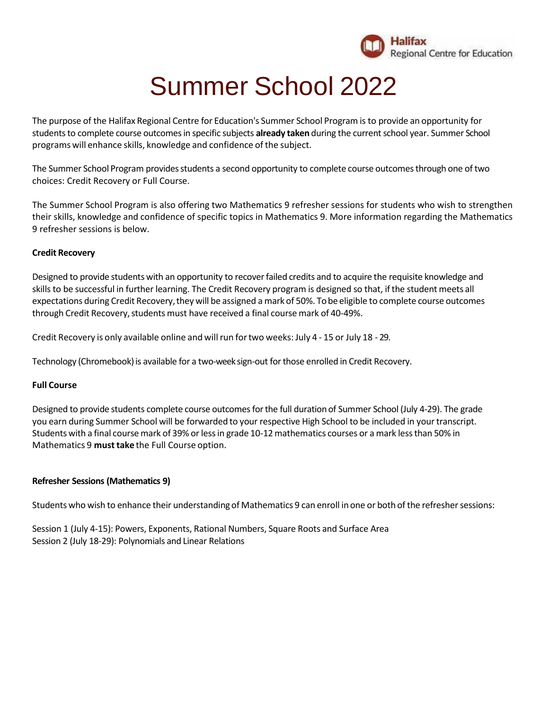

# Summer School 2022

The purpose of the Halifax Regional Centre for Education's Summer School Program is to provide an opportunity for students to complete course outcomes in specific subjects already taken during the current school year. Summer School programs will enhance skills, knowledge and confidence of the subject.

The Summer School Program provides students a second opportunity to complete course outcomes through one of two choices: Credit Recovery or Full Course.

The Summer School Program is also offering two Mathematics 9 refresher sessions for students who wish to strengthen their skills, knowledge and confidence of specific topics in Mathematics 9. More information regarding the Mathematics 9 refresher sessions is below.

# **Credit Recovery**

Designed to provide students with an opportunity to recoverfailed credits and to acquire the requisite knowledge and skills to be successful in further learning. The Credit Recovery program is designed so that, ifthe student meets all expectations during Credit Recovery, they will be assigned a mark of 50%. To be eligible to complete course outcomes through Credit Recovery, students must have received a final course mark of 40-49%.

Credit Recovery is only available online and willrun fortwo weeks: July 4 - 15 or July 18 - 29.

Technology (Chromebook) is available for a two-week sign-out for those enrolled in Credit Recovery.

## **Full Course**

Designed to provide students complete course outcomes for the full duration of Summer School (July 4-29). The grade you earn during Summer School will be forwarded to your respective High School to be included in yourtranscript. Students with a final course mark of 39% or less in grade 10-12 mathematics courses or a mark less than 50% in Mathematics 9 **must take** the Full Course option.

## **Refresher Sessions (Mathematics 9)**

Students who wish to enhance their understanding of Mathematics 9 can enroll in one or both of the refresher sessions:

Session 1 (July 4-15): Powers, Exponents, Rational Numbers, Square Roots and Surface Area Session 2 (July 18-29): Polynomials and Linear Relations